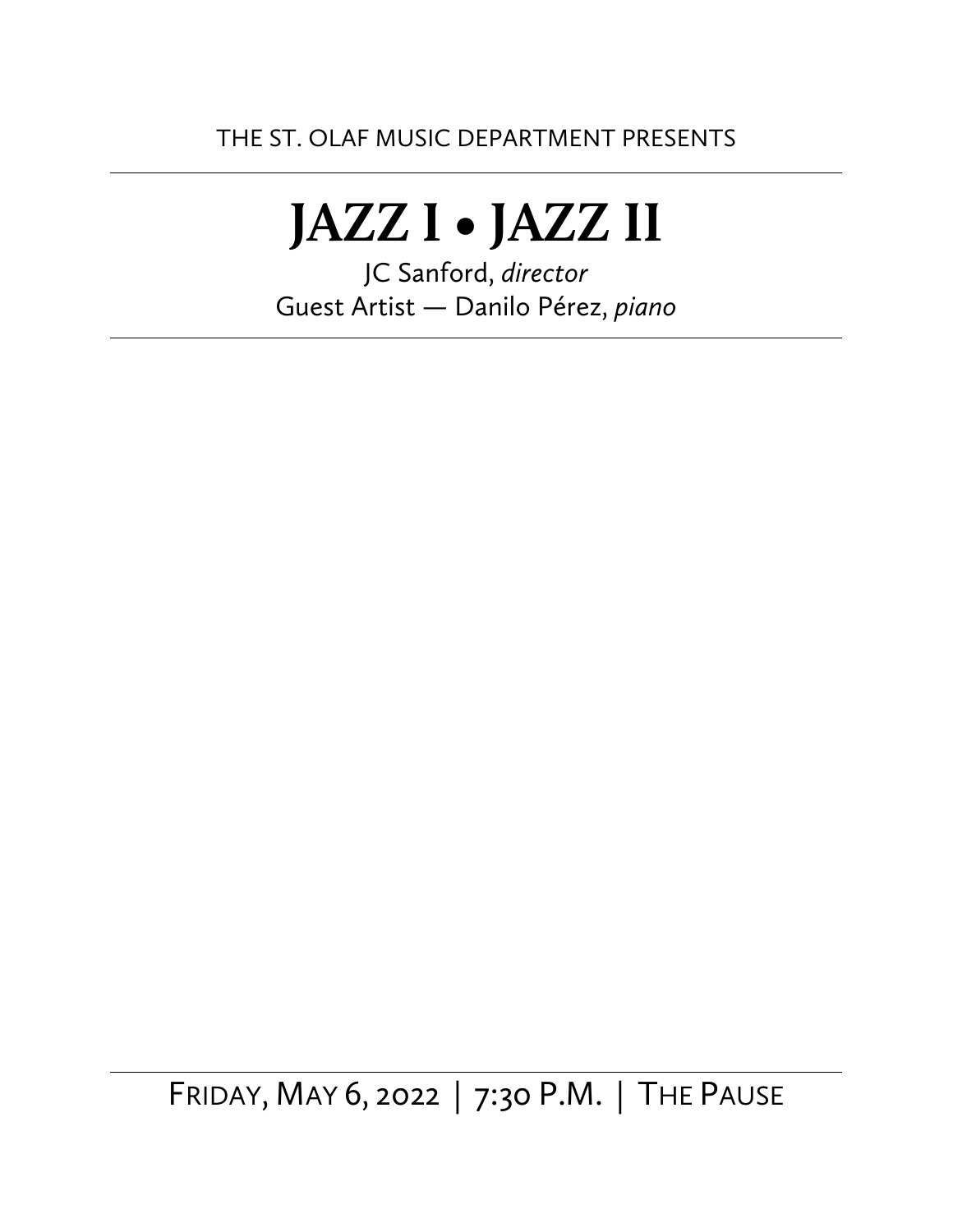# **JAZZ I • JAZZ II**

JC Sanford, *director* Guest Artist — Danilo Pérez, *piano*

FRIDAY, MAY 6, 2022 | 7:30 P.M. | THE PAUSE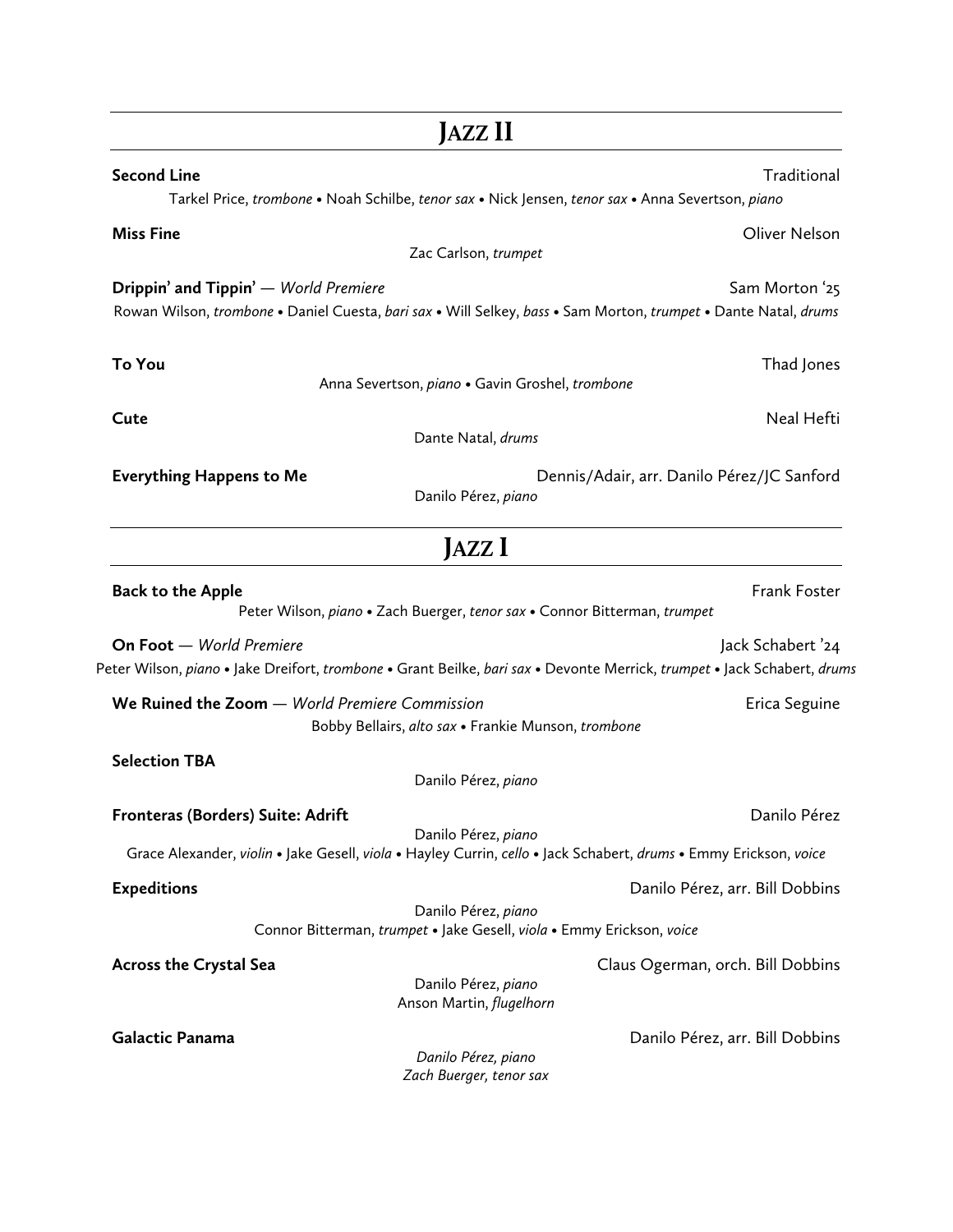|                                                | JAZZ II                                                                                                                                  |                                                                                                                                                                                  |
|------------------------------------------------|------------------------------------------------------------------------------------------------------------------------------------------|----------------------------------------------------------------------------------------------------------------------------------------------------------------------------------|
| <b>Second Line</b>                             | Tarkel Price, trombone • Noah Schilbe, tenor sax • Nick Jensen, tenor sax • Anna Severtson, piano                                        | Traditional                                                                                                                                                                      |
| <b>Miss Fine</b>                               | Zac Carlson, trumpet                                                                                                                     | Oliver Nelson                                                                                                                                                                    |
| <b>Drippin' and Tippin'</b> — World Premiere   | Rowan Wilson, trombone . Daniel Cuesta, bari sax . Will Selkey, bass . Sam Morton, trumpet . Dante Natal, drums                          | Sam Morton '25                                                                                                                                                                   |
| To You                                         | Anna Severtson, piano · Gavin Groshel, trombone                                                                                          | Thad Jones                                                                                                                                                                       |
| Cute                                           | Dante Natal, drums                                                                                                                       | Neal Hefti                                                                                                                                                                       |
| <b>Everything Happens to Me</b>                | Danilo Pérez, piano                                                                                                                      | Dennis/Adair, arr. Danilo Pérez/JC Sanford                                                                                                                                       |
|                                                | JAZZ I                                                                                                                                   |                                                                                                                                                                                  |
| <b>Back to the Apple</b>                       | Peter Wilson, piano · Zach Buerger, tenor sax · Connor Bitterman, trumpet                                                                | Frank Foster                                                                                                                                                                     |
| On Foot - World Premiere                       |                                                                                                                                          | Jack Schabert '24<br>Peter Wilson, <i>piano</i> • Jake Dreifort, <i>trombone</i> • Grant Beilke, <i>bari sax</i> • Devonte Merrick, <i>trumpet</i> • Jack Schabert, <i>drums</i> |
| We Ruined the Zoom - World Premiere Commission | Bobby Bellairs, alto sax · Frankie Munson, trombone                                                                                      | Erica Seguine                                                                                                                                                                    |
| <b>Selection TBA</b>                           | Danilo Pérez, piano                                                                                                                      |                                                                                                                                                                                  |
| Fronteras (Borders) Suite: Adrift              | Danilo Pérez, piano<br>Grace Alexander, violin • Jake Gesell, viola • Hayley Currin, cello • Jack Schabert, drums • Emmy Erickson, voice | Danilo Pérez                                                                                                                                                                     |
| <b>Expeditions</b>                             | Danilo Pérez, piano                                                                                                                      | Danilo Pérez, arr. Bill Dobbins                                                                                                                                                  |
| <b>Across the Crystal Sea</b>                  | Connor Bitterman, trumpet · Jake Gesell, viola · Emmy Erickson, voice<br>Danilo Pérez, piano<br>Anson Martin, flugelhorn                 | Claus Ogerman, orch. Bill Dobbins                                                                                                                                                |
| Galactic Panama                                | Danilo Pérez, piano<br>Zach Buerger, tenor sax                                                                                           | Danilo Pérez, arr. Bill Dobbins                                                                                                                                                  |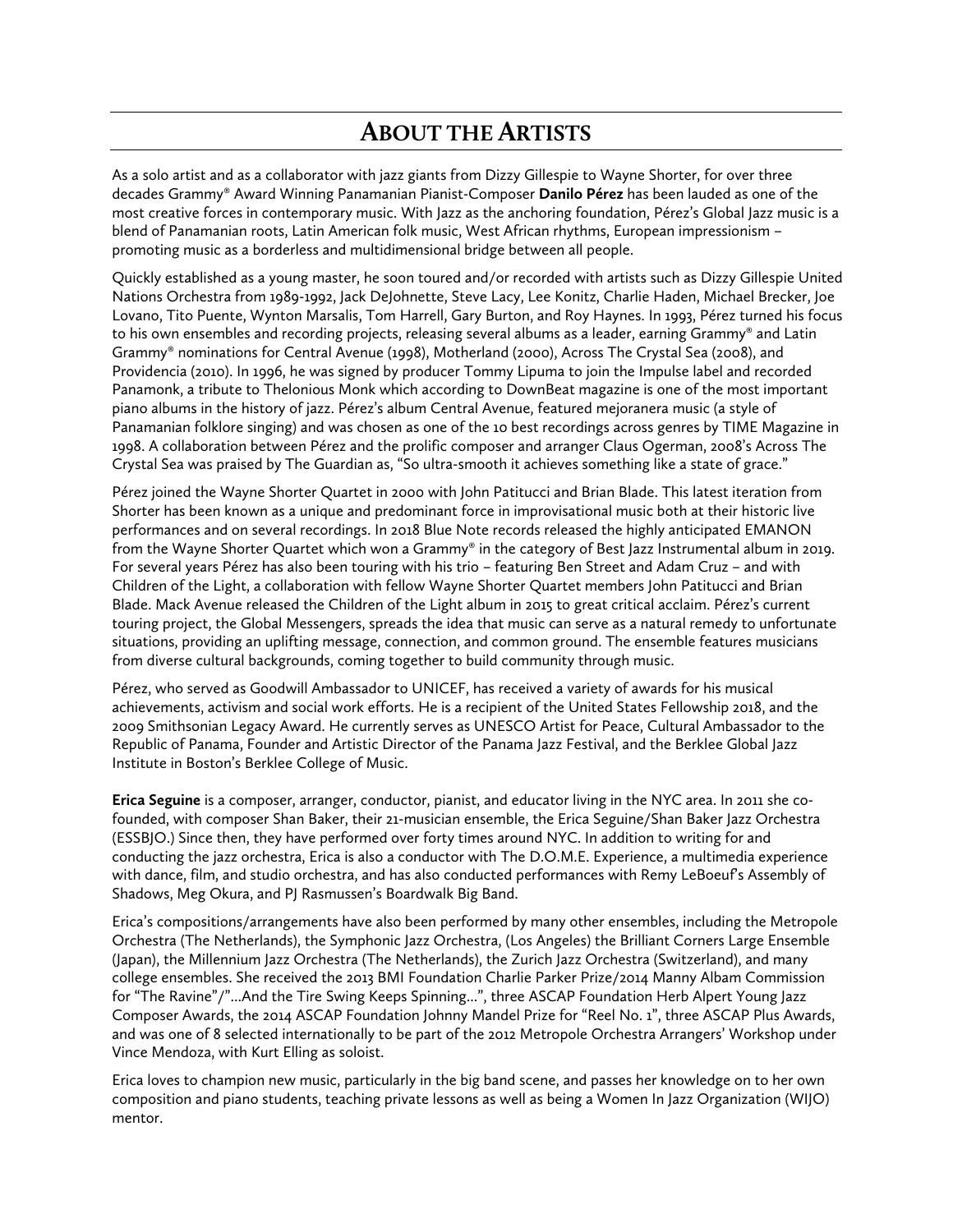# **ABOUT THE ARTISTS**

As a solo artist and as a collaborator with jazz giants from Dizzy Gillespie to Wayne Shorter, for over three decades Grammy® Award Winning Panamanian Pianist-Composer **Danilo Pérez** has been lauded as one of the most creative forces in contemporary music. With Jazz as the anchoring foundation, Pérez's Global Jazz music is a blend of Panamanian roots, Latin American folk music, West African rhythms, European impressionism – promoting music as a borderless and multidimensional bridge between all people.

Quickly established as a young master, he soon toured and/or recorded with artists such as Dizzy Gillespie United Nations Orchestra from 1989-1992, Jack DeJohnette, Steve Lacy, Lee Konitz, Charlie Haden, Michael Brecker, Joe Lovano, Tito Puente, Wynton Marsalis, Tom Harrell, Gary Burton, and Roy Haynes. In 1993, Pérez turned his focus to his own ensembles and recording projects, releasing several albums as a leader, earning Grammy® and Latin Grammy® nominations for Central Avenue (1998), Motherland (2000), Across The Crystal Sea (2008), and Providencia (2010). In 1996, he was signed by producer Tommy Lipuma to join the Impulse label and recorded Panamonk, a tribute to Thelonious Monk which according to DownBeat magazine is one of the most important piano albums in the history of jazz. Pérez's album Central Avenue, featured mejoranera music (a style of Panamanian folklore singing) and was chosen as one of the 10 best recordings across genres by TIME Magazine in 1998. A collaboration between Pérez and the prolific composer and arranger Claus Ogerman, 2008's Across The Crystal Sea was praised by The Guardian as, "So ultra-smooth it achieves something like a state of grace."

Pérez joined the Wayne Shorter Quartet in 2000 with John Patitucci and Brian Blade. This latest iteration from Shorter has been known as a unique and predominant force in improvisational music both at their historic live performances and on several recordings. In 2018 Blue Note records released the highly anticipated EMANON from the Wayne Shorter Quartet which won a Grammy® in the category of Best Jazz Instrumental album in 2019. For several years Pérez has also been touring with his trio – featuring Ben Street and Adam Cruz – and with Children of the Light, a collaboration with fellow Wayne Shorter Quartet members John Patitucci and Brian Blade. Mack Avenue released the Children of the Light album in 2015 to great critical acclaim. Pérez's current touring project, the Global Messengers, spreads the idea that music can serve as a natural remedy to unfortunate situations, providing an uplifting message, connection, and common ground. The ensemble features musicians from diverse cultural backgrounds, coming together to build community through music.

Pérez, who served as Goodwill Ambassador to UNICEF, has received a variety of awards for his musical achievements, activism and social work efforts. He is a recipient of the United States Fellowship 2018, and the 2009 Smithsonian Legacy Award. He currently serves as UNESCO Artist for Peace, Cultural Ambassador to the Republic of Panama, Founder and Artistic Director of the Panama Jazz Festival, and the Berklee Global Jazz Institute in Boston's Berklee College of Music.

**Erica Seguine** is a composer, arranger, conductor, pianist, and educator living in the NYC area. In 2011 she cofounded, with composer Shan Baker, their 21-musician ensemble, the Erica Seguine/Shan Baker Jazz Orchestra (ESSBJO.) Since then, they have performed over forty times around NYC. In addition to writing for and conducting the jazz orchestra, Erica is also a conductor with The D.O.M.E. Experience, a multimedia experience with dance, film, and studio orchestra, and has also conducted performances with Remy LeBoeuf's Assembly of Shadows, Meg Okura, and PJ Rasmussen's Boardwalk Big Band.

Erica's compositions/arrangements have also been performed by many other ensembles, including the Metropole Orchestra (The Netherlands), the Symphonic Jazz Orchestra, (Los Angeles) the Brilliant Corners Large Ensemble (Japan), the Millennium Jazz Orchestra (The Netherlands), the Zurich Jazz Orchestra (Switzerland), and many college ensembles. She received the 2013 BMI Foundation Charlie Parker Prize/2014 Manny Albam Commission for "The Ravine"/"...And the Tire Swing Keeps Spinning...", three ASCAP Foundation Herb Alpert Young Jazz Composer Awards, the 2014 ASCAP Foundation Johnny Mandel Prize for "Reel No. 1", three ASCAP Plus Awards, and was one of 8 selected internationally to be part of the 2012 Metropole Orchestra Arrangers' Workshop under Vince Mendoza, with Kurt Elling as soloist.

Erica loves to champion new music, particularly in the big band scene, and passes her knowledge on to her own composition and piano students, teaching private lessons as well as being a Women In Jazz Organization (WIJO) mentor.